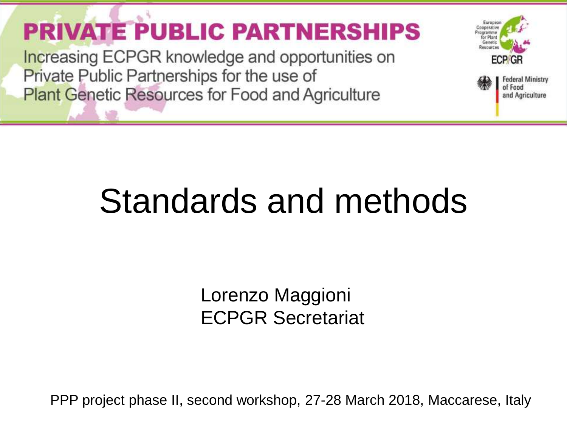**PRIVATE PUBLIC PARTNERSHIPS** 

**Increasing ECPGR knowledge and opportunities on** Private Public Partnerships for the use of **Plant Genetic Resources for Food and Agriculture** 



## Standards and methods

Lorenzo Maggioni ECPGR Secretariat

PPP project phase II, second workshop, 27-28 March 2018, Maccarese, Italy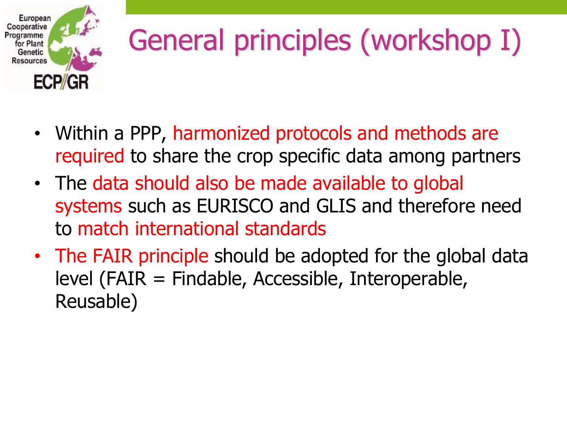

# General principles (workshop I)

- Within a PPP, harmonized protocols and methods are required to share the crop specific data among partners
- The data should also be made available to global systems such as EURISCO and GLIS and therefore need to match international standards
- The FAIR principle should be adopted for the global data level (FAIR = Findable, Accessible, Interoperable, Reusable)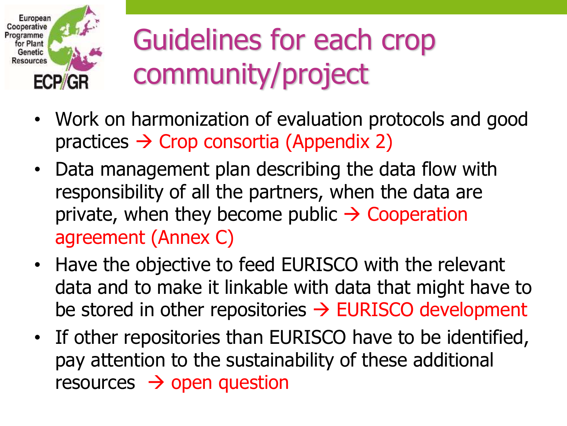

### Guidelines for each crop community/project

- Work on harmonization of evaluation protocols and good practices  $\rightarrow$  Crop consortia (Appendix 2)
- Data management plan describing the data flow with responsibility of all the partners, when the data are private, when they become public  $\rightarrow$  Cooperation agreement (Annex C)
- Have the objective to feed EURISCO with the relevant data and to make it linkable with data that might have to be stored in other repositories  $\rightarrow$  EURISCO development
- If other repositories than EURISCO have to be identified, pay attention to the sustainability of these additional resources  $\rightarrow$  open question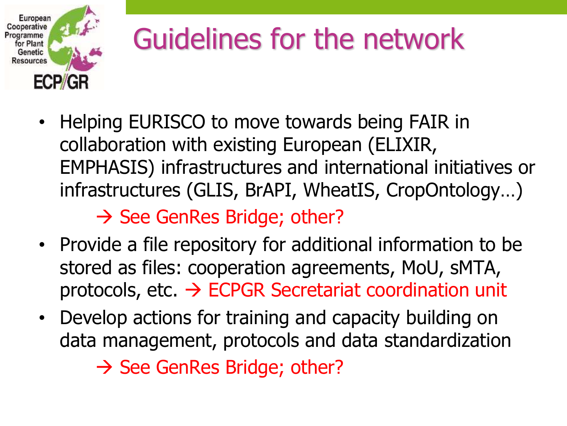

#### Guidelines for the network

• Helping EURISCO to move towards being FAIR in collaboration with existing European (ELIXIR, EMPHASIS) infrastructures and international initiatives or infrastructures (GLIS, BrAPI, WheatIS, CropOntology…)

 $\rightarrow$  See GenRes Bridge; other?

- Provide a file repository for additional information to be stored as files: cooperation agreements, MoU, sMTA, protocols, etc.  $\rightarrow$  ECPGR Secretariat coordination unit
- Develop actions for training and capacity building on data management, protocols and data standardization  $\rightarrow$  See GenRes Bridge; other?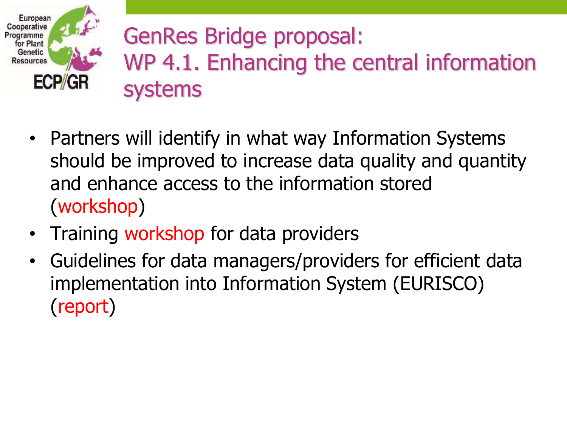

#### GenRes Bridge proposal: WP 4.1. Enhancing the central information systems

- Partners will identify in what way Information Systems should be improved to increase data quality and quantity and enhance access to the information stored (workshop)
- Training workshop for data providers
- Guidelines for data managers/providers for efficient data implementation into Information System (EURISCO) (report)